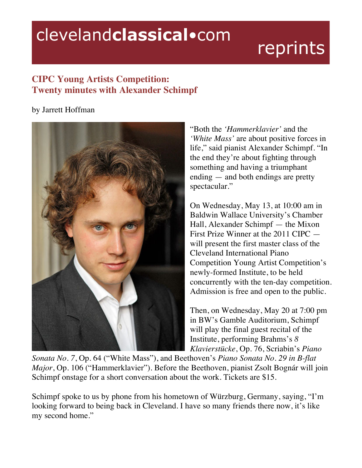## clevelandclassical.com

## reprints

## **CIPC Young Artists Competition: Twenty minutes with Alexander Schimpf**

## by Jarrett Hoffman



"Both the *'Hammerklavier'* and the *'White Mass'* are about positive forces in life," said pianist Alexander Schimpf. "In the end they're about fighting through something and having a triumphant ending — and both endings are pretty spectacular."

On Wednesday, May 13, at 10:00 am in Baldwin Wallace University's Chamber Hall, Alexander Schimpf — the Mixon First Prize Winner at the 2011 CIPC will present the first master class of the Cleveland International Piano Competition Young Artist Competition's newly-formed Institute, to be held concurrently with the ten-day competition. Admission is free and open to the public.

Then, on Wednesday, May 20 at 7:00 pm in BW's Gamble Auditorium, Schimpf will play the final guest recital of the Institute, performing Brahms's *8 Klavierstücke*, Op. 76, Scriabin's *Piano* 

*Sonata No. 7*, Op. 64 ("White Mass"), and Beethoven's *Piano Sonata No. 29 in B-flat Major*, Op. 106 ("Hammerklavier"). Before the Beethoven, pianist Zsolt Bognár will join Schimpf onstage for a short conversation about the work. Tickets are \$15.

Schimpf spoke to us by phone from his hometown of Würzburg, Germany, saying, "I'm looking forward to being back in Cleveland. I have so many friends there now, it's like my second home."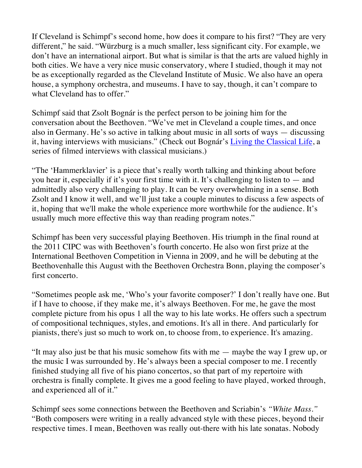If Cleveland is Schimpf's second home, how does it compare to his first? "They are very different," he said. "Würzburg is a much smaller, less significant city. For example, we don't have an international airport. But what is similar is that the arts are valued highly in both cities. We have a very nice music conservatory, where I studied, though it may not be as exceptionally regarded as the Cleveland Institute of Music. We also have an opera house, a symphony orchestra, and museums. I have to say, though, it can't compare to what Cleveland has to offer."

Schimpf said that Zsolt Bognár is the perfect person to be joining him for the conversation about the Beethoven. "We've met in Cleveland a couple times, and once also in Germany. He's so active in talking about music in all sorts of ways — discussing it, having interviews with musicians." (Check out Bognár's Living the Classical Life, a series of filmed interviews with classical musicians.)

"The 'Hammerklavier' is a piece that's really worth talking and thinking about before you hear it, especially if it's your first time with it. It's challenging to listen to — and admittedly also very challenging to play. It can be very overwhelming in a sense. Both Zsolt and I know it well, and we'll just take a couple minutes to discuss a few aspects of it, hoping that we'll make the whole experience more worthwhile for the audience. It's usually much more effective this way than reading program notes."

Schimpf has been very successful playing Beethoven. His triumph in the final round at the 2011 CIPC was with Beethoven's fourth concerto. He also won first prize at the International Beethoven Competition in Vienna in 2009, and he will be debuting at the Beethovenhalle this August with the Beethoven Orchestra Bonn, playing the composer's first concerto.

"Sometimes people ask me, 'Who's your favorite composer?' I don't really have one. But if I have to choose, if they make me, it's always Beethoven. For me, he gave the most complete picture from his opus 1 all the way to his late works. He offers such a spectrum of compositional techniques, styles, and emotions. It's all in there. And particularly for pianists, there's just so much to work on, to choose from, to experience. It's amazing.

"It may also just be that his music somehow fits with me — maybe the way I grew up, or the music I was surrounded by. He's always been a special composer to me. I recently finished studying all five of his piano concertos, so that part of my repertoire with orchestra is finally complete. It gives me a good feeling to have played, worked through, and experienced all of it."

Schimpf sees some connections between the Beethoven and Scriabin's *"White Mass."* "Both composers were writing in a really advanced style with these pieces, beyond their respective times. I mean, Beethoven was really out-there with his late sonatas. Nobody